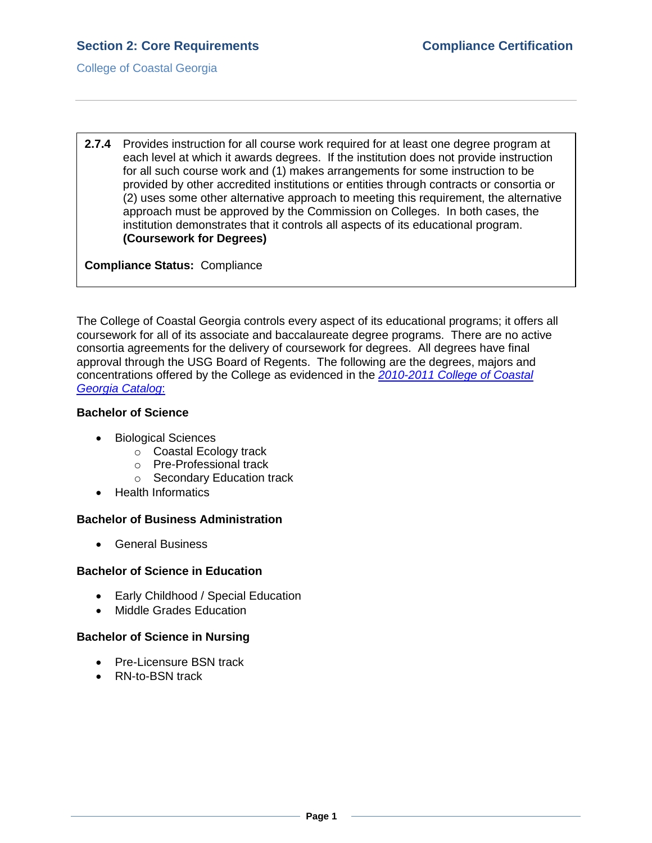College of Coastal Georgia

**2.7.4** Provides instruction for all course work required for at least one degree program at each level at which it awards degrees. If the institution does not provide instruction for all such course work and (1) makes arrangements for some instruction to be provided by other accredited institutions or entities through contracts or consortia or (2) uses some other alternative approach to meeting this requirement, the alternative approach must be approved by the Commission on Colleges. In both cases, the institution demonstrates that it controls all aspects of its educational program. **(Coursework for Degrees)**

**Compliance Status:** Compliance

The College of Coastal Georgia controls every aspect of its educational programs; it offers all coursework for all of its associate and baccalaureate degree programs. There are no active consortia agreements for the delivery of coursework for degrees. All degrees have final approval through the USG Board of Regents. The following are the degrees, majors and concentrations offered by the College as evidenced in the *[2010-2011 College of Coastal](CCGAcatalog.pdf#page=54)  [Georgia](CCGAcatalog.pdf#page=54) Catalog*:

#### **Bachelor of Science**

- Biological Sciences
	- $\circ$  Coastal Ecology track
	- o Pre-Professional track
	- o Secondary Education track
- Health Informatics

#### **Bachelor of Business Administration**

General Business

#### **Bachelor of Science in Education**

- Early Childhood / Special Education
- Middle Grades Education

## **Bachelor of Science in Nursing**

- Pre-Licensure BSN track
- RN-to-BSN track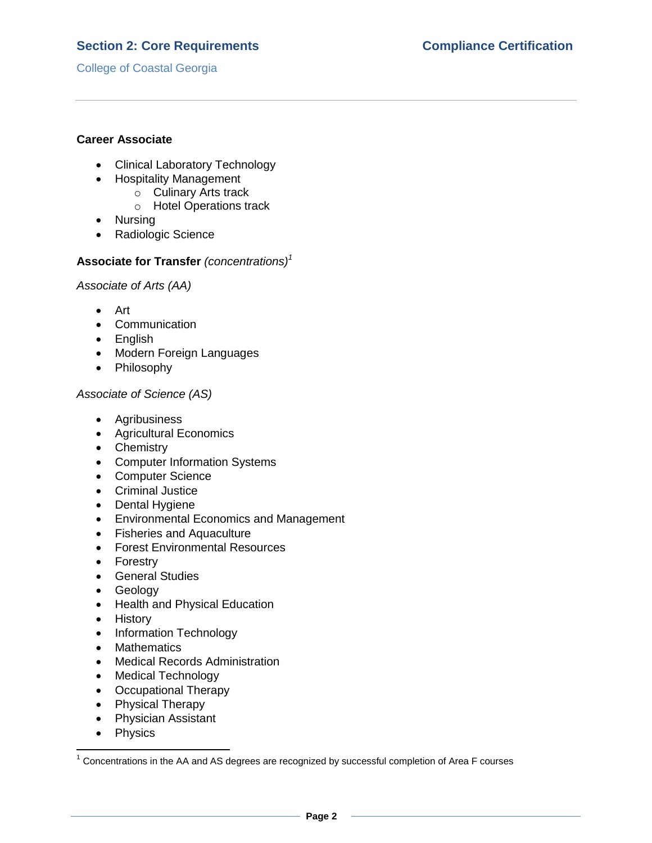# **Section 2: Core Requirements Compliance Certification**

College of Coastal Georgia

### **Career Associate**

- Clinical Laboratory Technology
- Hospitality Management
	- o Culinary Arts track
	- o Hotel Operations track
- Nursing
- Radiologic Science

### **Associate for Transfer** *(concentrations)<sup>1</sup>*

*Associate of Arts (AA)*

- Art
- Communication
- English
- Modern Foreign Languages
- Philosophy

### *Associate of Science (AS)*

- Agribusiness
- Agricultural Economics
- Chemistry
- Computer Information Systems
- Computer Science
- Criminal Justice
- Dental Hygiene
- Environmental Economics and Management
- Fisheries and Aquaculture
- Forest Environmental Resources
- Forestry
- **•** General Studies
- Geology
- Health and Physical Education
- History
- Information Technology
- Mathematics
- Medical Records Administration
- Medical Technology
- Occupational Therapy
- Physical Therapy
- Physician Assistant
- Physics

 $\overline{\phantom{a}}$ 

 $1$  Concentrations in the AA and AS degrees are recognized by successful completion of Area F courses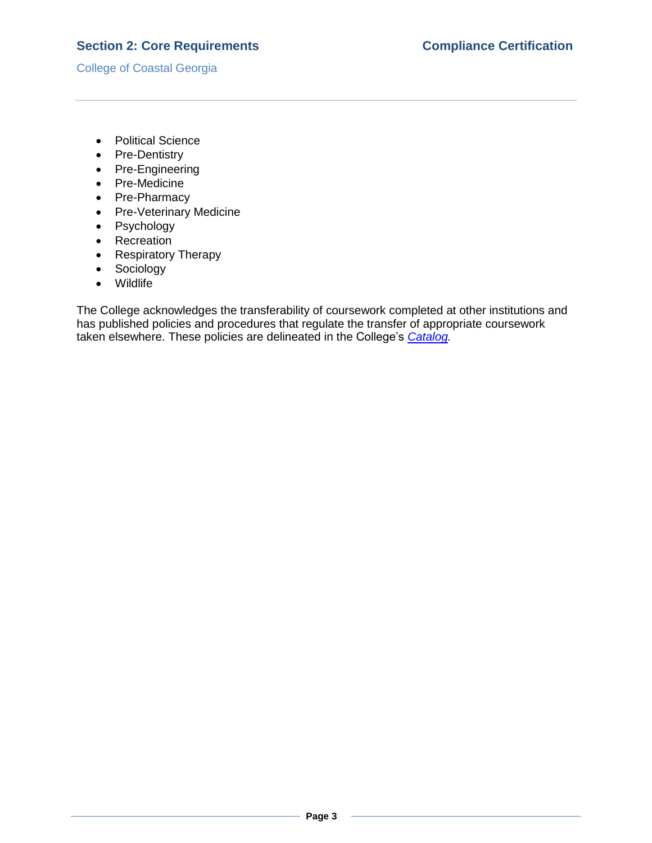## **Section 2: Core Requirements Compliance Certification**

College of Coastal Georgia

- Political Science
- Pre-Dentistry
- Pre-Engineering
- Pre-Medicine
- Pre-Pharmacy
- Pre-Veterinary Medicine
- Psychology
- Recreation
- Respiratory Therapy
- Sociology
- Wildlife

The College acknowledges the transferability of coursework completed at other institutions and has published policies and procedures that regulate the transfer of appropriate coursework taken elsewhere. These policies are delineated in the College's *[Catalog.](CCGAcatalog.pdf#page=42)*